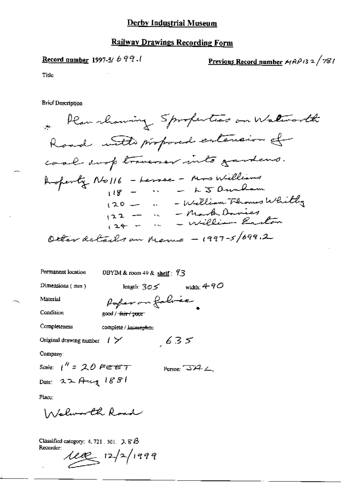## Record number 1997-5/  $699.1$

<u>Previous Record number</u>  $MAP/32/781$ 

Title

**Brief Description** 

Permanent location

DBYIM & room 49 & shelf :  $93$ 

Paper on fabric

Dimensions (mm)

length:  $305$  width:  $490$ 

 $635$ 

Material

Condition

complete / incomplete

good / -<del>fair / poor</del>

Original drawing number  $1 \swarrow$ 

Company:

Completeness

Scale:  $1''$  = 20 Feet Date: 22 Aug 1881

Person:  $\overline{\mathcal{A}}$   $\angle$ 

Place:

Walunth Road

Classified category: 4, 721 . 301.  $\lambda$   $\beta$   $\beta$ Recorder:

 $112$   $12/1999$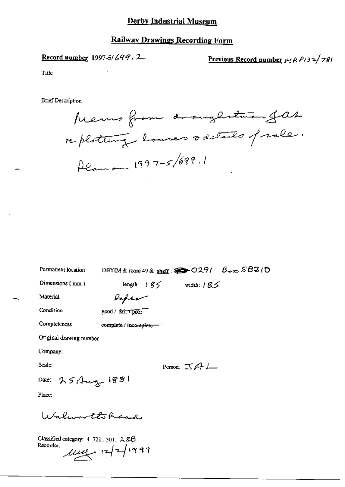#### Derby Industrial Museum

#### **Railway Drawings Recording Form**

# Record number 1997-5/699.2

Previous Record number 14 R P132/781

Title

**Brief Description** 

Memo from draughstman fas replating houses sactado of role. Planon 1997-5/699.1

DBYIM & room 49 & shelf:  $29/27/6$   $B_{\text{wpc}}$   $S83/0$ Permanent location

Dimensions (mm)

length:  $185$  width:  $185$ 

Material

Paper

Condition

good / fair / poor

Completeness

complete / incomplete-

Original drawing number

Company:

Scale:

Person:  $\mathbb{E} \mathbb{A} L$ 

Date:  $25444$   $188$ 

Place:

Walworth Road

Classified category:  $4$  721, 301,  $288$ Recorder:  $\mu$ ue 12/1999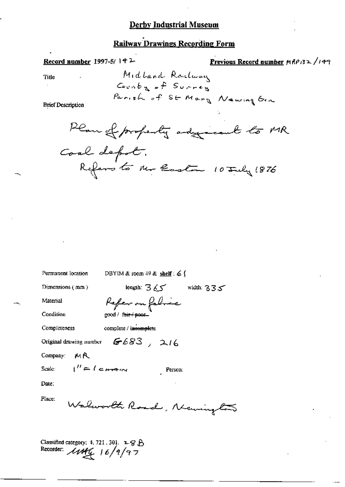## **Derby Industrial Museum**

# **Railway Drawings Recording Form**

#### Record number 1997-5/142-

A.

Title  $\ddot{\phantom{a}}$ 

Previous Record number 
$$
MAP132
$$
 / 149

**Brief Description** 



| Permanent location                     | DBYIM & room $49$ & shelf : 6 $\frac{6}{3}$ |  |  |  |
|----------------------------------------|---------------------------------------------|--|--|--|
| Dimensions $(mn)$                      | leagth: $365$ width: $335$                  |  |  |  |
| Material                               | Refer on fabric                             |  |  |  |
| Condition                              | good / fair / poor                          |  |  |  |
| Completeness                           | complete / incomplete                       |  |  |  |
| Original drawing number $6683$ , $216$ |                                             |  |  |  |
| MR<br>Company:                         |                                             |  |  |  |
| Scale: $i'' = i e H + i$               | Person:                                     |  |  |  |
| Date:                                  |                                             |  |  |  |
| Place:<br>Walworld Road, Newingl       |                                             |  |  |  |

Classified category: 4, 721, 301, 2-9 B Recorder:  $\mu$ Mg 16/9/97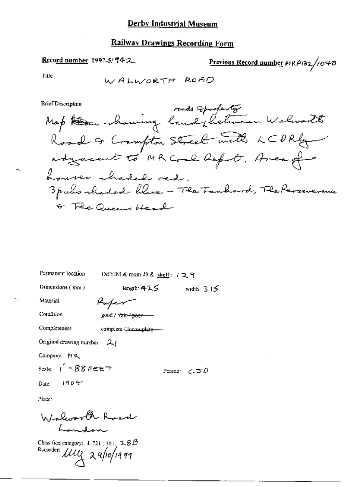## Record number 1997-5/942

Previous Record number MRP132/1040

Tiμc

ч.

**Brief Description** 

| Permanent location                       | DBYIM & room 49 & shelf : 1 그 ٩ |                        |
|------------------------------------------|---------------------------------|------------------------|
| Dimensions $(mn)$                        | length: 425                     | width: $315$           |
| Material                                 | Kaper                           |                        |
| Condition                                | good / Tair / poor -----        |                        |
| Completeness                             | complete / incomplete-          |                        |
| Original drawing number 21               |                                 |                        |
| Company: MR                              |                                 |                        |
| Scale: $\int^{\infty} 88 \, \text{FEET}$ |                                 | Person: $\epsilon = 0$ |
| Date: $1904-$                            |                                 |                        |
| Place:                                   |                                 |                        |

Walworth Road Landon

Classified category:  $4.721$ ,  $301$ ,  $2.8B$ Recorder: 1119 29/10/1999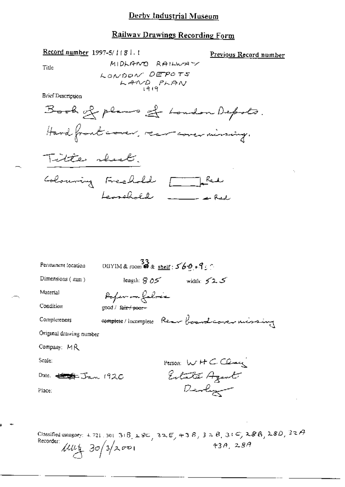#### Record number 1997-5/1181.1

Previous Record number

Title

MIDLAND RAILWAY

**Brief Description** 



| Perinanent (ocation           | UBYIM & room $\overset{33}{\bullet}$ & shelf: $569.9$ : |
|-------------------------------|---------------------------------------------------------|
| Dimensions $(mm)$             | length: $\beta$ 05<br>width: $52.5$                     |
| Material                      | Pofer on falme                                          |
| Condition                     | good / t <del>air / pear -</del>                        |
| Con pleteness                 | complete/incomplete Rear boardcorer missing             |
| Original drawing number       |                                                         |
| Company: MR                   |                                                         |
| Scale:                        | Person: W H C Class                                     |
| Date. <del>ピンキ</del> Jan 1920 | Entate Agent                                            |
| Place:                        | Devly                                                   |
|                               |                                                         |

Classified category: 4.721.301.31B,  $28c$ ,  $32E$ ,  $43B$ ,  $32B$ ,  $31C$ ,  $28B$ ,  $28D$ ,  $32A$ <br>Recorder:<br>  $\ell l l l l$ ,  $3\sigma/3/2\sigma v$ Recorder:  $\mu u_1$  30/3/2001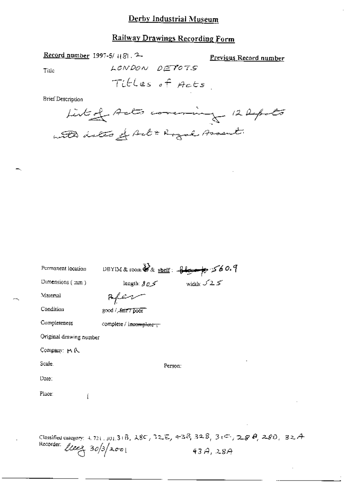### Derby Industrial Museum

# Railway Drawings Recording Form

Record number 1997-5/1181.2

Previous Record number

Title

Tibles of Acts

LONDON DETOTS

**Brief Description** 

Listed Acts covering 12 Reports with dates of Act & Royal Assent

| Permanent location      | DBYIM & room $\overrightarrow{\mathbf{3}}$ & shelf: $\overrightarrow{\mathbf{4}}$ $\overrightarrow{\mathbf{5}}$ $\times$ 60.9 |  |
|-------------------------|-------------------------------------------------------------------------------------------------------------------------------|--|
| Dimensions $($ :nm $)$  |                                                                                                                               |  |
| Material                |                                                                                                                               |  |
| Condition               | good / Bair 7 poor                                                                                                            |  |
| Completeness            | complete / incomplete -                                                                                                       |  |
| Original drawing number |                                                                                                                               |  |
| Company: M R.           |                                                                                                                               |  |
| Scale.                  | Person:                                                                                                                       |  |
| Date:                   |                                                                                                                               |  |
| Place:                  |                                                                                                                               |  |
|                         |                                                                                                                               |  |
|                         |                                                                                                                               |  |

Classified category: 4.721.301.31B,  $\lambda$ 8C, 32E, 43B, 32B, 31E, 28B, 28D, 32A Recorder:  $l$ leez  $30/3/200$  $43A,28A$